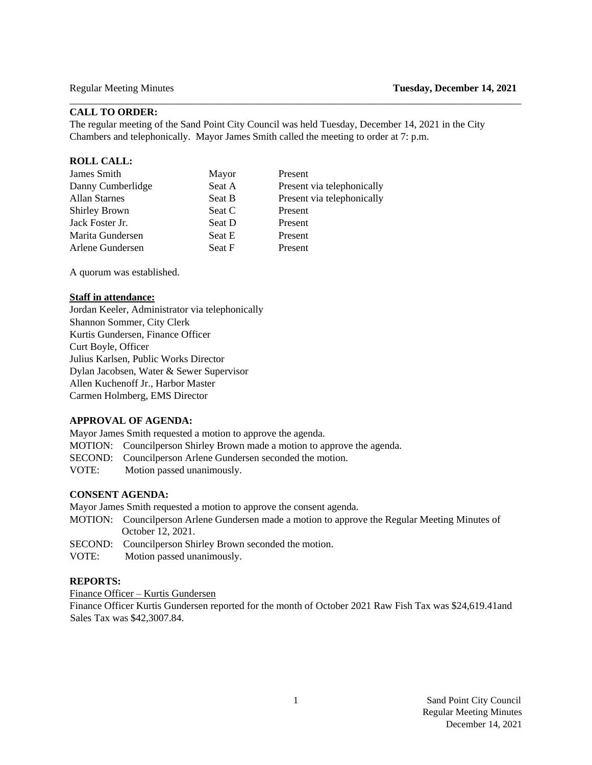# **CALL TO ORDER:**

The regular meeting of the Sand Point City Council was held Tuesday, December 14, 2021 in the City Chambers and telephonically. Mayor James Smith called the meeting to order at 7: p.m.

 $\Box$ 

#### **ROLL CALL:**

| James Smith          | Mayor  | Present                    |
|----------------------|--------|----------------------------|
| Danny Cumberlidge    | Seat A | Present via telephonically |
| <b>Allan Starnes</b> | Seat B | Present via telephonically |
| <b>Shirley Brown</b> | Seat C | Present                    |
| Jack Foster Jr.      | Seat D | Present                    |
| Marita Gundersen     | Seat E | Present                    |
| Arlene Gundersen     | Seat F | Present                    |
|                      |        |                            |

A quorum was established.

## **Staff in attendance:**

Jordan Keeler, Administrator via telephonically Shannon Sommer, City Clerk Kurtis Gundersen, Finance Officer Curt Boyle, Officer Julius Karlsen, Public Works Director Dylan Jacobsen, Water & Sewer Supervisor Allen Kuchenoff Jr., Harbor Master Carmen Holmberg, EMS Director

#### **APPROVAL OF AGENDA:**

Mayor James Smith requested a motion to approve the agenda.

- MOTION: Councilperson Shirley Brown made a motion to approve the agenda.
- SECOND: Councilperson Arlene Gundersen seconded the motion.
- VOTE:Motion passed unanimously.

# **CONSENT AGENDA:**

Mayor James Smith requested a motion to approve the consent agenda.

- MOTION: Councilperson Arlene Gundersen made a motion to approve the Regular Meeting Minutes of October 12, 2021.
- SECOND: Councilperson Shirley Brown seconded the motion.
- VOTE:Motion passed unanimously.

# **REPORTS:**

Finance Officer – Kurtis Gundersen

Finance Officer Kurtis Gundersen reported for the month of October 2021 Raw Fish Tax was \$24,619.41and Sales Tax was \$42,3007.84.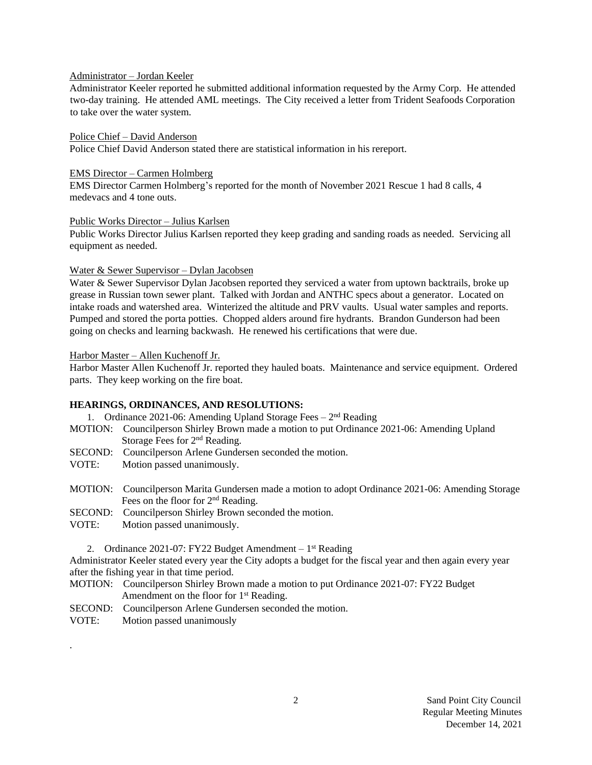# Administrator – Jordan Keeler

Administrator Keeler reported he submitted additional information requested by the Army Corp. He attended two-day training. He attended AML meetings. The City received a letter from Trident Seafoods Corporation to take over the water system.

#### Police Chief – David Anderson

Police Chief David Anderson stated there are statistical information in his rereport.

#### EMS Director – Carmen Holmberg

EMS Director Carmen Holmberg's reported for the month of November 2021 Rescue 1 had 8 calls, 4 medevacs and 4 tone outs.

#### Public Works Director – Julius Karlsen

Public Works Director Julius Karlsen reported they keep grading and sanding roads as needed. Servicing all equipment as needed.

### Water & Sewer Supervisor – Dylan Jacobsen

Water & Sewer Supervisor Dylan Jacobsen reported they serviced a water from uptown backtrails, broke up grease in Russian town sewer plant. Talked with Jordan and ANTHC specs about a generator. Located on intake roads and watershed area. Winterized the altitude and PRV vaults. Usual water samples and reports. Pumped and stored the porta potties. Chopped alders around fire hydrants. Brandon Gunderson had been going on checks and learning backwash. He renewed his certifications that were due.

### Harbor Master – Allen Kuchenoff Jr.

Harbor Master Allen Kuchenoff Jr. reported they hauled boats. Maintenance and service equipment. Ordered parts. They keep working on the fire boat.

## **HEARINGS, ORDINANCES, AND RESOLUTIONS:**

1. Ordinance 2021-06: Amending Upland Storage Fees - 2<sup>nd</sup> Reading

- MOTION: Councilperson Shirley Brown made a motion to put Ordinance 2021-06: Amending Upland Storage Fees for 2<sup>nd</sup> Reading.
- SECOND: Councilperson Arlene Gundersen seconded the motion.
- VOTE: Motion passed unanimously.
- MOTION: Councilperson Marita Gundersen made a motion to adopt Ordinance 2021-06: Amending Storage Fees on the floor for 2<sup>nd</sup> Reading.
- SECOND: Councilperson Shirley Brown seconded the motion.
- VOTE: Motion passed unanimously.

2. Ordinance 2021-07: FY22 Budget Amendment - 1<sup>st</sup> Reading

Administrator Keeler stated every year the City adopts a budget for the fiscal year and then again every year after the fishing year in that time period.

- MOTION: Councilperson Shirley Brown made a motion to put Ordinance 2021-07: FY22 Budget Amendment on the floor for 1<sup>st</sup> Reading.
- SECOND: Councilperson Arlene Gundersen seconded the motion.
- VOTE: Motion passed unanimously

.